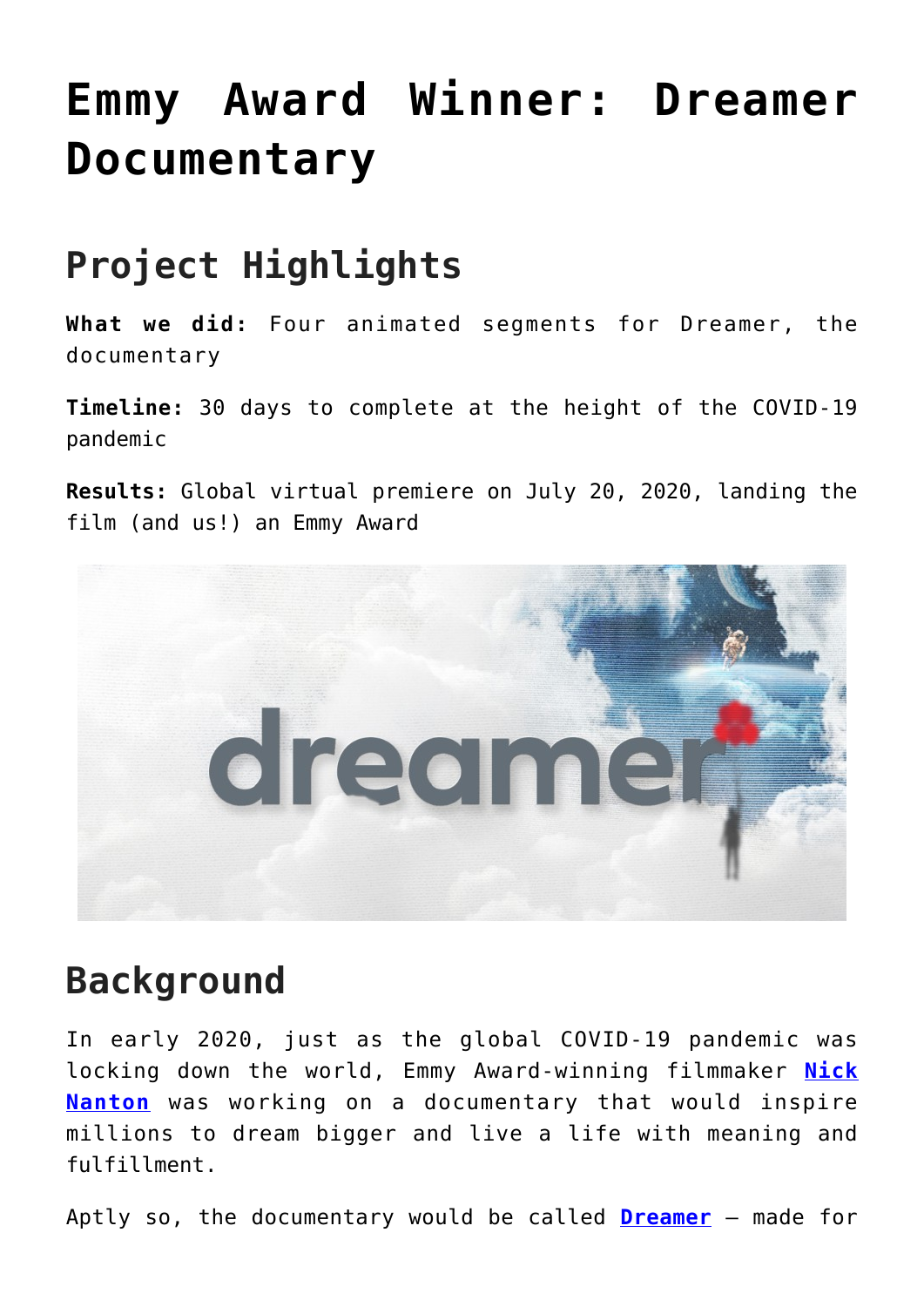# **[Emmy Award Winner: Dreamer](https://foodfightstudios.com/brand-work-dreamer-documentary/) [Documentary](https://foodfightstudios.com/brand-work-dreamer-documentary/)**

### **Project Highlights**

**What we did:** Four animated segments for Dreamer, the documentary

**Timeline:** 30 days to complete at the height of the COVID-19 pandemic

**Results:** Global virtual premiere on July 20, 2020, landing the film (and us!) an Emmy Award



#### **Background**

In early 2020, just as the global COVID-19 pandemic was locking down the world, Emmy Award-winning filmmaker **[Nick](https://nicknanton.com/) [Nanton](https://nicknanton.com/)** was working on a documentary that would inspire millions to dream bigger and live a life with meaning and fulfillment.

Aptly so, the documentary would be called **[Dreamer](https://dreamerdocumentary.com/)** – made for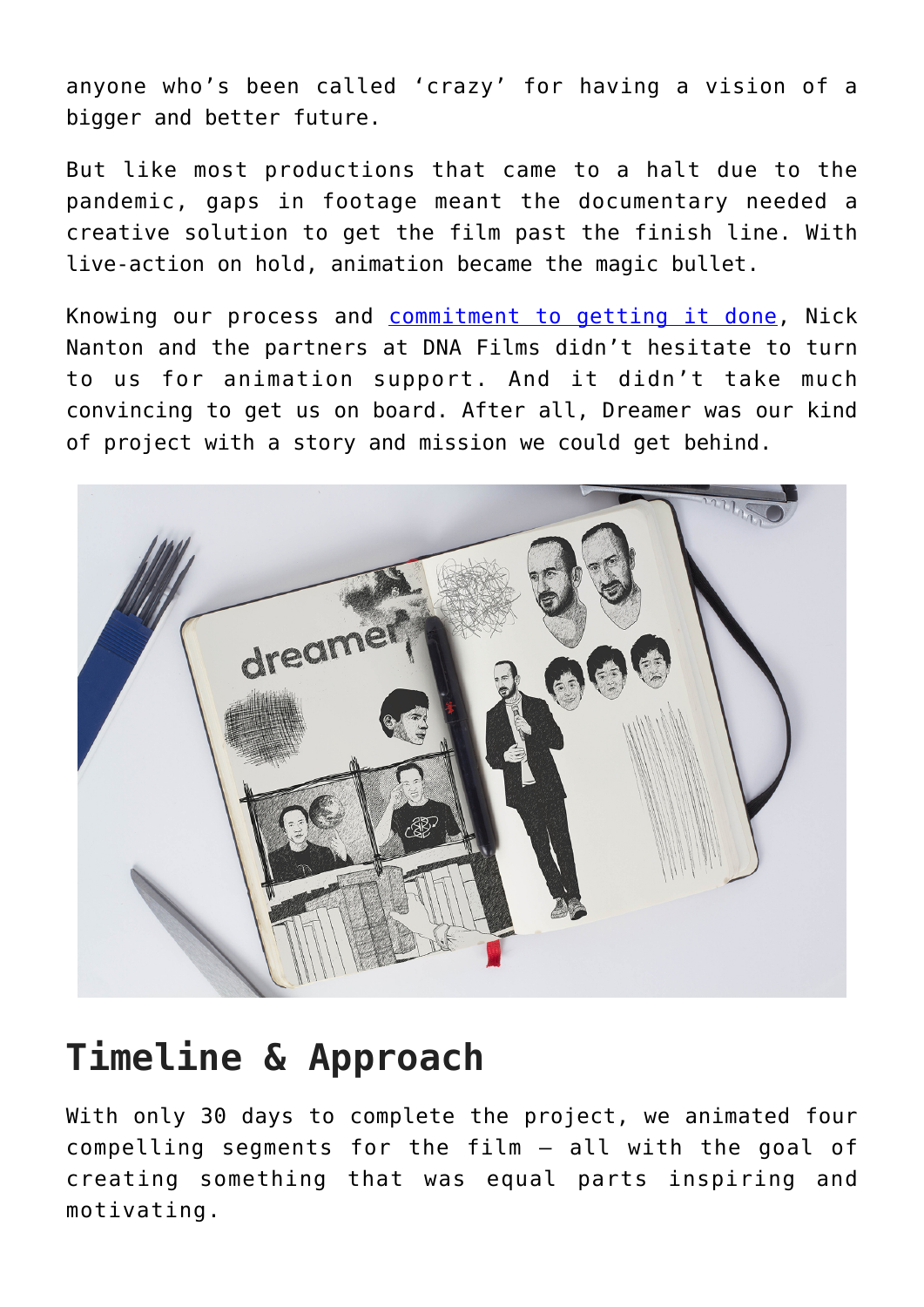anyone who's been called 'crazy' for having a vision of a bigger and better future.

But like most productions that came to a halt due to the pandemic, gaps in footage meant the documentary needed a creative solution to get the film past the finish line. With live-action on hold, animation became the magic bullet.

Knowing our process and [commitment to getting it done](https://www.foodfightstudios.com/services/), Nick Nanton and the partners at DNA Films didn't hesitate to turn to us for animation support. And it didn't take much convincing to get us on board. After all, Dreamer was our kind of project with a story and mission we could get behind.



#### **Timeline & Approach**

With only 30 days to complete the project, we animated four compelling segments for the film – all with the goal of creating something that was equal parts inspiring and motivating.